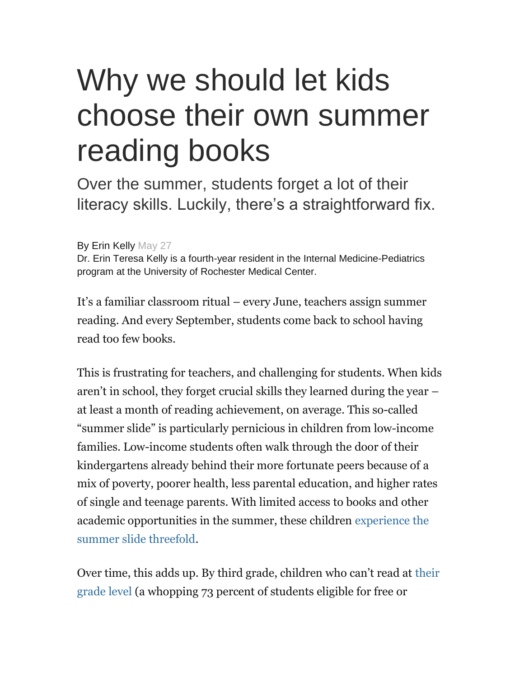## Why we should let kids choose their own summer reading books

Over the summer, students forget a lot of their literacy skills. Luckily, there's a straightforward fix.

By Erin Kelly May 27

Dr. Erin Teresa Kelly is a fourth-year resident in the Internal Medicine-Pediatrics program at the University of Rochester Medical Center.

It's a familiar classroom ritual – every June, teachers assign summer reading. And every September, students come back to school having read too few books.

This is frustrating for teachers, and challenging for students. When kids aren't in school, they forget crucial skills they learned during the year – at least a month of reading achievement, on average. This so-called "summer slide" is particularly pernicious in children from low-income families. Low-income students often walk through the door of their kindergartens already behind their more fortunate peers because of a mix of poverty, poorer health, less parental education, and higher rates of single and teenage parents. With limited access to books and other academic opportunities in the summer, these children [experience the](http://www.jstor.org/stable/1170523?seq=1#page_scan_tab_contents)  [summer slide threefold.](http://www.jstor.org/stable/1170523?seq=1#page_scan_tab_contents)

Over time, this adds up. By third grade, children who can't read at [their](http://www.aecf.org/m/resourcedoc/AECF-DoubleJeopardy-2012-Full.pdf)  [grade level](http://www.aecf.org/m/resourcedoc/AECF-DoubleJeopardy-2012-Full.pdf) (a whopping 73 percent of students eligible for free or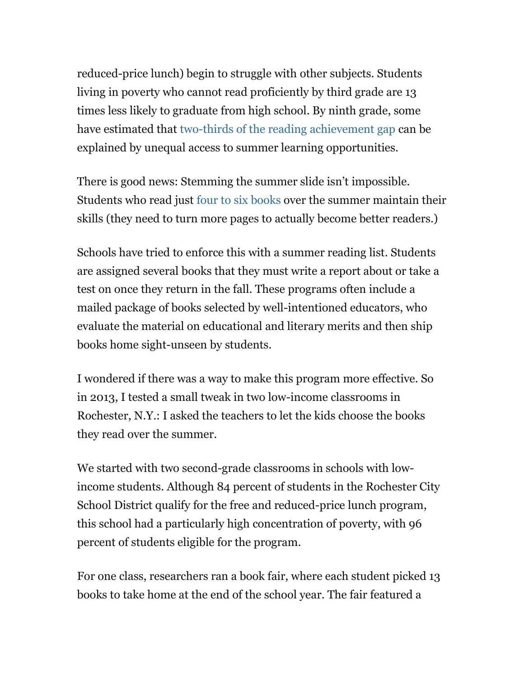reduced-price lunch) begin to struggle with other subjects. Students living in poverty who cannot read proficiently by third grade are 13 times less likely to graduate from high school. By ninth grade, some have estimated that [two-thirds of the reading achievement gap](http://asr.sagepub.com/content/72/2/167.abstract) can be explained by unequal access to summer learning opportunities.

There is good news: Stemming the summer slide isn't impossible. Students who read just [four to six books](http://literacy-reforms.gse.harvard.edu/files/reads_summer_learning/files/kim_2004_summer_reading_ethnic_achievement_gap.pdf) over the summer maintain their skills (they need to turn more pages to actually become better readers.)

Schools have tried to enforce this with a summer reading list. Students are assigned several books that they must write a report about or take a test on once they return in the fall. These programs often include a mailed package of books selected by well-intentioned educators, who evaluate the material on educational and literary merits and then ship books home sight-unseen by students.

I wondered if there was a way to make this program more effective. So in 2013, I tested a small tweak in two low-income classrooms in Rochester, N.Y.: I asked the teachers to let the kids choose the books they read over the summer.

We started with two second-grade classrooms in schools with lowincome students. Although 84 percent of students in the Rochester City School District qualify for the free and reduced-price lunch program, this school had a particularly high concentration of poverty, with 96 percent of students eligible for the program.

For one class, researchers ran a book fair, where each student picked 13 books to take home at the end of the school year. The fair featured a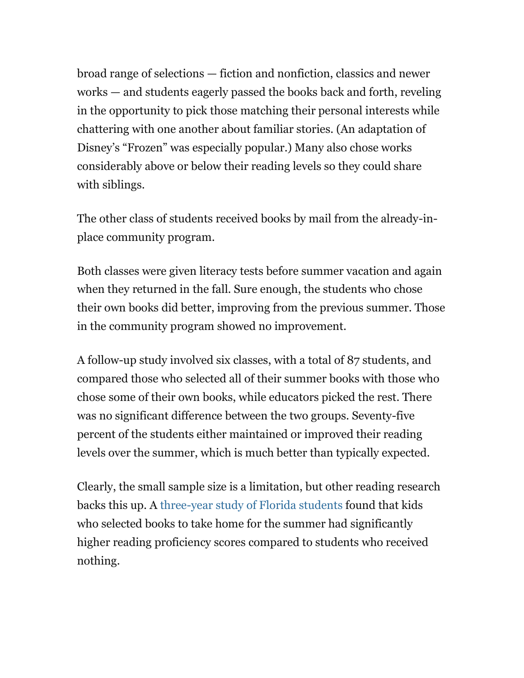broad range of selections — fiction and nonfiction, classics and newer works — and students eagerly passed the books back and forth, reveling in the opportunity to pick those matching their personal interests while chattering with one another about familiar stories. (An adaptation of Disney's "Frozen" was especially popular.) Many also chose works considerably above or below their reading levels so they could share with siblings.

The other class of students received books by mail from the already-inplace community program.

Both classes were given literacy tests before summer vacation and again when they returned in the fall. Sure enough, the students who chose their own books did better, improving from the previous summer. Those in the community program showed no improvement.

A follow-up study involved six classes, with a total of 87 students, and compared those who selected all of their summer books with those who chose some of their own books, while educators picked the rest. There was no significant difference between the two groups. Seventy-five percent of the students either maintained or improved their reading levels over the summer, which is much better than typically expected.

Clearly, the small sample size is a limitation, but other reading research backs this up. A [three-year study of Florida students](http://libraries.idaho.gov/files/SummerReadingSetback_%2520Allington.pdf) found that kids who selected books to take home for the summer had significantly higher reading proficiency scores compared to students who received nothing.